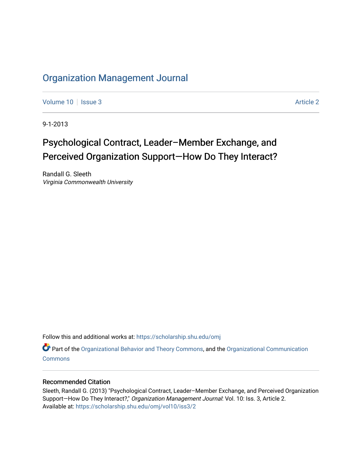# [Organization Management Journal](https://scholarship.shu.edu/omj)

[Volume 10](https://scholarship.shu.edu/omj/vol10) | [Issue 3](https://scholarship.shu.edu/omj/vol10/iss3) Article 2

9-1-2013

# Psychological Contract, Leader–Member Exchange, and Perceived Organization Support—How Do They Interact?

Randall G. Sleeth Virginia Commonwealth University

Follow this and additional works at: [https://scholarship.shu.edu/omj](https://scholarship.shu.edu/omj?utm_source=scholarship.shu.edu%2Fomj%2Fvol10%2Fiss3%2F2&utm_medium=PDF&utm_campaign=PDFCoverPages) 

Part of the [Organizational Behavior and Theory Commons,](http://network.bepress.com/hgg/discipline/639?utm_source=scholarship.shu.edu%2Fomj%2Fvol10%2Fiss3%2F2&utm_medium=PDF&utm_campaign=PDFCoverPages) and the [Organizational Communication](http://network.bepress.com/hgg/discipline/335?utm_source=scholarship.shu.edu%2Fomj%2Fvol10%2Fiss3%2F2&utm_medium=PDF&utm_campaign=PDFCoverPages) **[Commons](http://network.bepress.com/hgg/discipline/335?utm_source=scholarship.shu.edu%2Fomj%2Fvol10%2Fiss3%2F2&utm_medium=PDF&utm_campaign=PDFCoverPages)** 

### Recommended Citation

Sleeth, Randall G. (2013) "Psychological Contract, Leader–Member Exchange, and Perceived Organization Support-How Do They Interact?," Organization Management Journal: Vol. 10: Iss. 3, Article 2. Available at: [https://scholarship.shu.edu/omj/vol10/iss3/2](https://scholarship.shu.edu/omj/vol10/iss3/2?utm_source=scholarship.shu.edu%2Fomj%2Fvol10%2Fiss3%2F2&utm_medium=PDF&utm_campaign=PDFCoverPages)